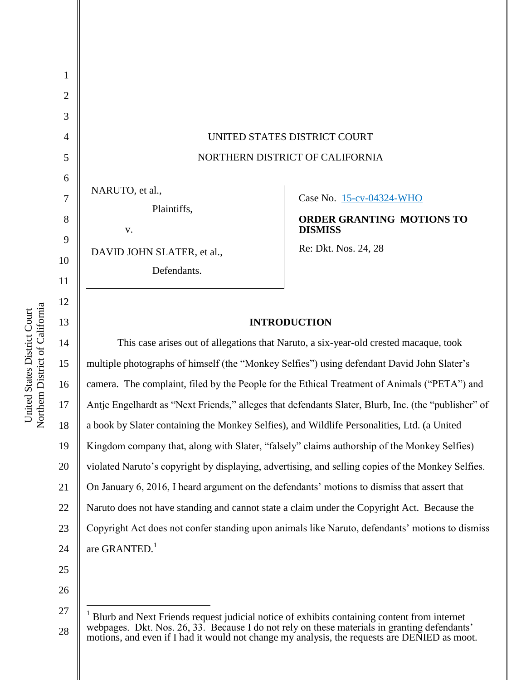Northern District of California Northern District of California United States District Court United States District Court

1

2

3

4

5

6

7

8

9

10

11

12

13

14

15

17

18

19

20

21

23

|                                                                                   | UNITED STATES DISTRICT COURT<br>NORTHERN DISTRICT OF CALIFORNIA                                 |  |
|-----------------------------------------------------------------------------------|-------------------------------------------------------------------------------------------------|--|
| NARUTO, et al.,<br>Plaintiffs,<br>V.<br>DAVID JOHN SLATER, et al.,<br>Defendants. | Case No. 15-cv-04324-WHO<br>ORDER GRANTING MOTIONS TO<br><b>DISMISS</b><br>Re: Dkt. Nos. 24, 28 |  |
| <b>INTRODUCTION</b>                                                               |                                                                                                 |  |

16 22 24 This case arises out of allegations that Naruto, a six-year-old crested macaque, took multiple photographs of himself (the "Monkey Selfies") using defendant David John Slater's camera. The complaint, filed by the People for the Ethical Treatment of Animals ("PETA") and Antje Engelhardt as "Next Friends," alleges that defendants Slater, Blurb, Inc. (the "publisher" of a book by Slater containing the Monkey Selfies), and Wildlife Personalities, Ltd. (a United Kingdom company that, along with Slater, "falsely" claims authorship of the Monkey Selfies) violated Naruto's copyright by displaying, advertising, and selling copies of the Monkey Selfies. On January 6, 2016, I heard argument on the defendants' motions to dismiss that assert that Naruto does not have standing and cannot state a claim under the Copyright Act. Because the Copyright Act does not confer standing upon animals like Naruto, defendants' motions to dismiss are GRANTED.<sup>1</sup>

25 26

 $\overline{a}$ 

<sup>27</sup> 28 <sup>1</sup> Blurb and Next Friends request judicial notice of exhibits containing content from internet webpages. Dkt. Nos. 26, 33. Because I do not rely on these materials in granting defendants' motions, and even if I had it would not change my analysis, the requests are DENIED as moot.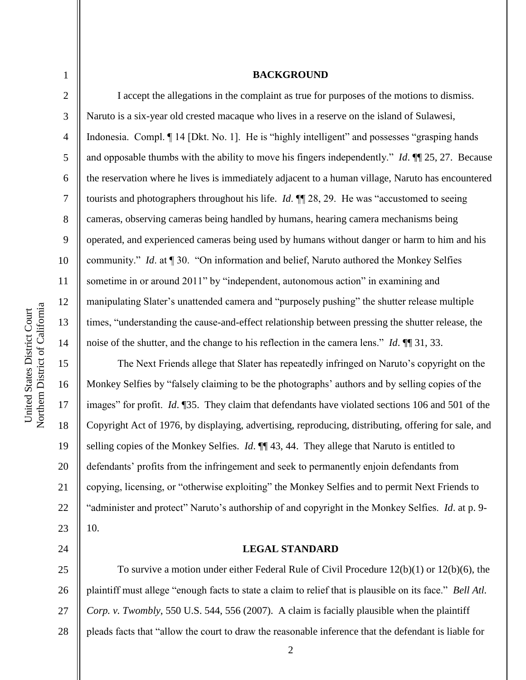2 3 4

5

6

7

8

9

10

11

12

13

14

15

16

17

18

19

20

21

22

23

24

1

## **BACKGROUND**

I accept the allegations in the complaint as true for purposes of the motions to dismiss. Naruto is a six-year old crested macaque who lives in a reserve on the island of Sulawesi, Indonesia. Compl.  $\P$  14 [Dkt. No. 1]. He is "highly intelligent" and possesses "grasping hands and opposable thumbs with the ability to move his fingers independently." *Id*. ¶¶ 25, 27. Because the reservation where he lives is immediately adjacent to a human village, Naruto has encountered tourists and photographers throughout his life. *Id*. ¶¶ 28, 29. He was "accustomed to seeing cameras, observing cameras being handled by humans, hearing camera mechanisms being operated, and experienced cameras being used by humans without danger or harm to him and his community." *Id*. at ¶ 30. "On information and belief, Naruto authored the Monkey Selfies sometime in or around 2011" by "independent, autonomous action" in examining and manipulating Slater's unattended camera and "purposely pushing" the shutter release multiple times, "understanding the cause-and-effect relationship between pressing the shutter release, the noise of the shutter, and the change to his reflection in the camera lens." *Id*. ¶¶ 31, 33.

The Next Friends allege that Slater has repeatedly infringed on Naruto's copyright on the Monkey Selfies by "falsely claiming to be the photographs' authors and by selling copies of the images" for profit. *Id*. ¶35. They claim that defendants have violated sections 106 and 501 of the Copyright Act of 1976, by displaying, advertising, reproducing, distributing, offering for sale, and selling copies of the Monkey Selfies. *Id*. ¶¶ 43, 44. They allege that Naruto is entitled to defendants' profits from the infringement and seek to permanently enjoin defendants from copying, licensing, or "otherwise exploiting" the Monkey Selfies and to permit Next Friends to "administer and protect" Naruto's authorship of and copyright in the Monkey Selfies. *Id*. at p. 9- 10.

## **LEGAL STANDARD**

25 26 27 28 To survive a motion under either Federal Rule of Civil Procedure 12(b)(1) or 12(b)(6), the plaintiff must allege "enough facts to state a claim to relief that is plausible on its face." *Bell Atl. Corp. v. Twombly*, 550 U.S. 544, 556 (2007). A claim is facially plausible when the plaintiff pleads facts that "allow the court to draw the reasonable inference that the defendant is liable for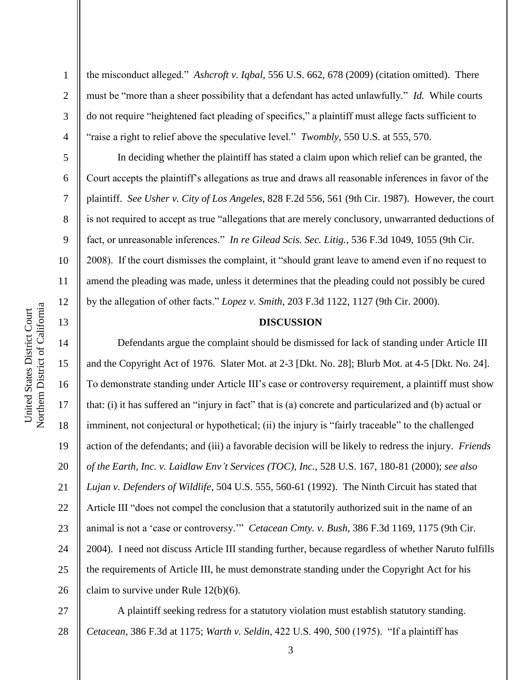1

2

3

4

5

6

7

8

9

10

11

12

13

14

15

17

18

19

21

22

23

25

the misconduct alleged." *Ashcroft v. Iqbal*, 556 U.S. 662, 678 (2009) (citation omitted). There must be "more than a sheer possibility that a defendant has acted unlawfully." *Id.* While courts do not require "heightened fact pleading of specifics," a plaintiff must allege facts sufficient to "raise a right to relief above the speculative level." *Twombly*, 550 U.S. at 555, 570.

In deciding whether the plaintiff has stated a claim upon which relief can be granted, the Court accepts the plaintiff's allegations as true and draws all reasonable inferences in favor of the plaintiff. *See Usher v. City of Los Angeles*, 828 F.2d 556, 561 (9th Cir. 1987). However, the court is not required to accept as true "allegations that are merely conclusory, unwarranted deductions of fact, or unreasonable inferences." *In re Gilead Scis. Sec. Litig.*, 536 F.3d 1049, 1055 (9th Cir. 2008). If the court dismisses the complaint, it "should grant leave to amend even if no request to amend the pleading was made, unless it determines that the pleading could not possibly be cured by the allegation of other facts." *Lopez v. Smith*, 203 F.3d 1122, 1127 (9th Cir. 2000).

## **DISCUSSION**

16 20 24 26 Defendants argue the complaint should be dismissed for lack of standing under Article III and the Copyright Act of 1976. Slater Mot. at 2-3 [Dkt. No. 28]; Blurb Mot. at 4-5 [Dkt. No. 24]. To demonstrate standing under Article III's case or controversy requirement, a plaintiff must show that: (i) it has suffered an "injury in fact" that is (a) concrete and particularized and (b) actual or imminent, not conjectural or hypothetical; (ii) the injury is "fairly traceable" to the challenged action of the defendants; and (iii) a favorable decision will be likely to redress the injury. *Friends of the Earth, Inc. v. Laidlaw Env't Services (TOC), Inc.*, 528 U.S. 167, 180-81 (2000); *see also Lujan v. Defenders of Wildlife*, 504 U.S. 555, 560-61 (1992). The Ninth Circuit has stated that Article III "does not compel the conclusion that a statutorily authorized suit in the name of an animal is not a 'case or controversy.'" *Cetacean Cmty. v. Bush*, 386 F.3d 1169, 1175 (9th Cir. 2004). I need not discuss Article III standing further, because regardless of whether Naruto fulfills the requirements of Article III, he must demonstrate standing under the Copyright Act for his claim to survive under Rule 12(b)(6).

27 28

A plaintiff seeking redress for a statutory violation must establish statutory standing. *Cetacean*, 386 F.3d at 1175; *Warth v. Seldin*, 422 U.S. 490, 500 (1975). "If a plaintiff has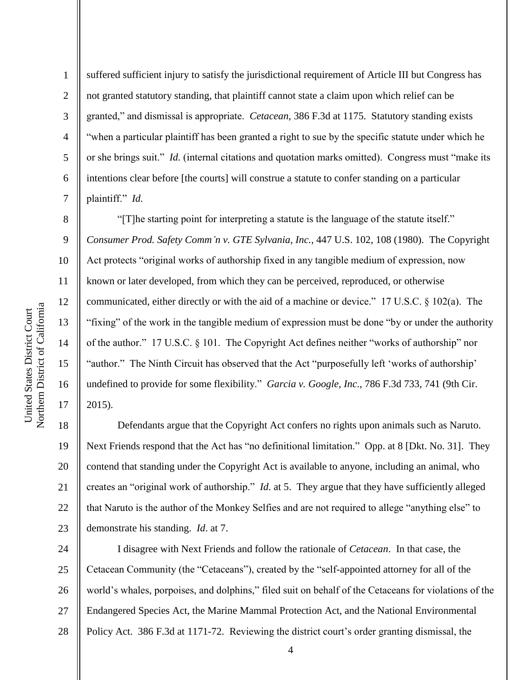Northern District of California Northern District of California United States District Court United States District Court

1

2

3

4

5

6

7

8

9

10

11

12

13

14

15

16

17

suffered sufficient injury to satisfy the jurisdictional requirement of Article III but Congress has not granted statutory standing, that plaintiff cannot state a claim upon which relief can be granted," and dismissal is appropriate. *Cetacean*, 386 F.3d at 1175. Statutory standing exists "when a particular plaintiff has been granted a right to sue by the specific statute under which he or she brings suit." *Id.* (internal citations and quotation marks omitted). Congress must "make its intentions clear before [the courts] will construe a statute to confer standing on a particular plaintiff." *Id.*

"[T]he starting point for interpreting a statute is the language of the statute itself." *Consumer Prod. Safety Comm'n v. GTE Sylvania, Inc.*, 447 U.S. 102, 108 (1980). The Copyright Act protects "original works of authorship fixed in any tangible medium of expression, now known or later developed, from which they can be perceived, reproduced, or otherwise communicated, either directly or with the aid of a machine or device." 17 U.S.C. § 102(a). The "fixing" of the work in the tangible medium of expression must be done "by or under the authority of the author." 17 U.S.C. § 101. The Copyright Act defines neither "works of authorship" nor "author." The Ninth Circuit has observed that the Act "purposefully left 'works of authorship' undefined to provide for some flexibility." *Garcia v. Google, Inc*., 786 F.3d 733, 741 (9th Cir. 2015).

18 19 20 21 22 23 Defendants argue that the Copyright Act confers no rights upon animals such as Naruto. Next Friends respond that the Act has "no definitional limitation." Opp. at 8 [Dkt. No. 31]. They contend that standing under the Copyright Act is available to anyone, including an animal, who creates an "original work of authorship." *Id*. at 5. They argue that they have sufficiently alleged that Naruto is the author of the Monkey Selfies and are not required to allege "anything else" to demonstrate his standing. *Id*. at 7.

24 25 26 27 28 I disagree with Next Friends and follow the rationale of *Cetacean*. In that case, the Cetacean Community (the "Cetaceans"), created by the "self-appointed attorney for all of the world's whales, porpoises, and dolphins," filed suit on behalf of the Cetaceans for violations of the Endangered Species Act, the Marine Mammal Protection Act, and the National Environmental Policy Act. 386 F.3d at 1171-72. Reviewing the district court's order granting dismissal, the

4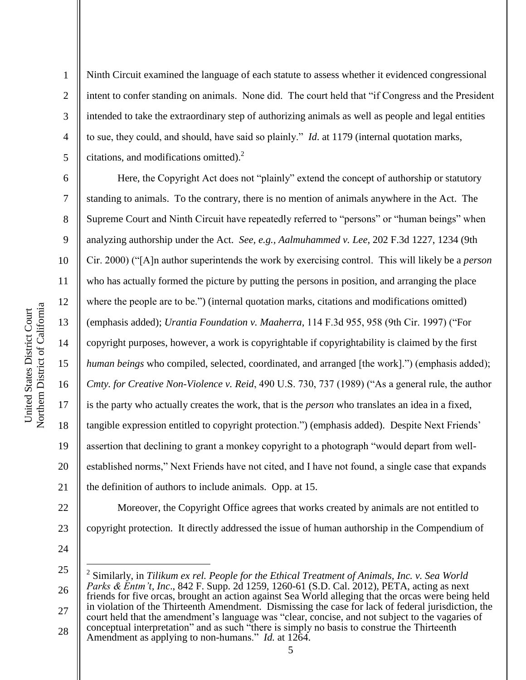1

2

3

4

5

Ninth Circuit examined the language of each statute to assess whether it evidenced congressional intent to confer standing on animals. None did. The court held that "if Congress and the President intended to take the extraordinary step of authorizing animals as well as people and legal entities to sue, they could, and should, have said so plainly." *Id*. at 1179 (internal quotation marks, citations, and modifications omitted). $^{2}$ 

6 7 8 9 10 11 12 13 14 15 16 17 18 19 20 21 Here, the Copyright Act does not "plainly" extend the concept of authorship or statutory standing to animals. To the contrary, there is no mention of animals anywhere in the Act. The Supreme Court and Ninth Circuit have repeatedly referred to "persons" or "human beings" when analyzing authorship under the Act. *See, e.g., Aalmuhammed v. Lee*, 202 F.3d 1227, 1234 (9th Cir. 2000) ("[A]n author superintends the work by exercising control. This will likely be a *person* who has actually formed the picture by putting the persons in position, and arranging the place where the people are to be.") (internal quotation marks, citations and modifications omitted) (emphasis added); *Urantia Foundation v. Maaherra*, 114 F.3d 955, 958 (9th Cir. 1997) ("For copyright purposes, however, a work is copyrightable if copyrightability is claimed by the first *human beings* who compiled, selected, coordinated, and arranged [the work].") (emphasis added); *Cmty. for Creative Non-Violence v. Reid*, 490 U.S. 730, 737 (1989) ("As a general rule, the author is the party who actually creates the work, that is the *person* who translates an idea in a fixed, tangible expression entitled to copyright protection.") (emphasis added). Despite Next Friends' assertion that declining to grant a monkey copyright to a photograph "would depart from wellestablished norms," Next Friends have not cited, and I have not found, a single case that expands the definition of authors to include animals. Opp. at 15.

22 23

24

 $\overline{a}$ 

25 26 27 2 Similarly, in *Tilikum ex rel. People for the Ethical Treatment of Animals, Inc. v. Sea World Parks & Entm't, Inc*., 842 F. Supp. 2d 1259, 1260-61 (S.D. Cal. 2012), PETA, acting as next friends for five orcas, brought an action against Sea World alleging that the orcas were being held in violation of the Thirteenth Amendment. Dismissing the case for lack of federal jurisdiction, the court held that the amendment's language was "clear, concise, and not subject to the vagaries of

28 conceptual interpretation" and as such "there is simply no basis to construe the Thirteenth Amendment as applying to non-humans." *Id.* at 1264.

Moreover, the Copyright Office agrees that works created by animals are not entitled to

copyright protection. It directly addressed the issue of human authorship in the Compendium of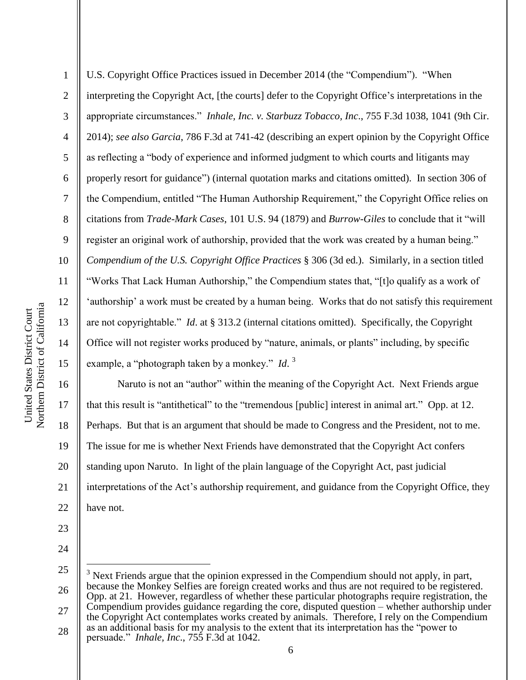1 2 3 4 5 6 7 8 9 10 11 12 13 14 15 U.S. Copyright Office Practices issued in December 2014 (the "Compendium"). "When interpreting the Copyright Act, [the courts] defer to the Copyright Office's interpretations in the appropriate circumstances." *Inhale, Inc. v. Starbuzz Tobacco, Inc*., 755 F.3d 1038, 1041 (9th Cir. 2014); *see also Garcia*, 786 F.3d at 741-42 (describing an expert opinion by the Copyright Office as reflecting a "body of experience and informed judgment to which courts and litigants may properly resort for guidance") (internal quotation marks and citations omitted). In section 306 of the Compendium, entitled "The Human Authorship Requirement," the Copyright Office relies on citations from *Trade-Mark Cases*, 101 U.S. 94 (1879) and *Burrow-Giles* to conclude that it "will register an original work of authorship, provided that the work was created by a human being." *Compendium of the U.S. Copyright Office Practices* § 306 (3d ed.). Similarly, in a section titled "Works That Lack Human Authorship," the Compendium states that, "[t]o qualify as a work of 'authorship' a work must be created by a human being. Works that do not satisfy this requirement are not copyrightable." *Id*. at § 313.2 (internal citations omitted). Specifically, the Copyright Office will not register works produced by "nature, animals, or plants" including, by specific example, a "photograph taken by a monkey." *Id*.<sup>3</sup>

16 17 18 19 20 21 22 Naruto is not an "author" within the meaning of the Copyright Act. Next Friends argue that this result is "antithetical" to the "tremendous [public] interest in animal art." Opp. at 12. Perhaps. But that is an argument that should be made to Congress and the President, not to me. The issue for me is whether Next Friends have demonstrated that the Copyright Act confers standing upon Naruto. In light of the plain language of the Copyright Act, past judicial interpretations of the Act's authorship requirement, and guidance from the Copyright Office, they have not.

23

24

<sup>25</sup> 26 27 28  $\overline{a}$  $3$  Next Friends argue that the opinion expressed in the Compendium should not apply, in part, because the Monkey Selfies are foreign created works and thus are not required to be registered. Opp. at 21. However, regardless of whether these particular photographs require registration, the Compendium provides guidance regarding the core, disputed question – whether authorship under the Copyright Act contemplates works created by animals. Therefore, I rely on the Compendium as an additional basis for my analysis to the extent that its interpretation has the "power to persuade." *Inhale, Inc*., 755 F.3d at 1042.